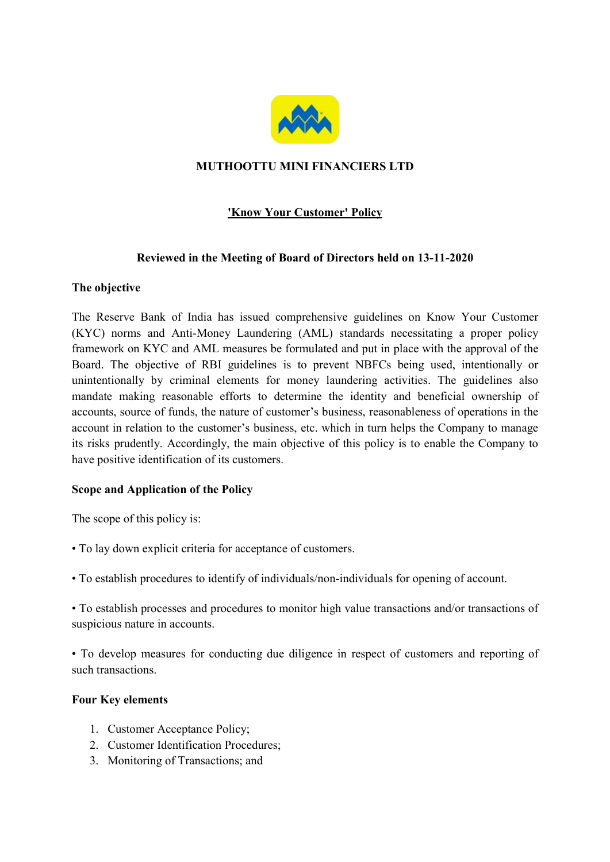

# MUTHOOTTU MINI FINANCIERS LTD

# 'Know Your Customer' Policy

### Reviewed in the Meeting of Board of Directors held on 13-11-2020

### The objective

The Reserve Bank of India has issued comprehensive guidelines on Know Your Customer (KYC) norms and Anti-Money Laundering (AML) standards necessitating a proper policy framework on KYC and AML measures be formulated and put in place with the approval of the Board. The objective of RBI guidelines is to prevent NBFCs being used, intentionally or unintentionally by criminal elements for money laundering activities. The guidelines also mandate making reasonable efforts to determine the identity and beneficial ownership of accounts, source of funds, the nature of customer's business, reasonableness of operations in the account in relation to the customer's business, etc. which in turn helps the Company to manage its risks prudently. Accordingly, the main objective of this policy is to enable the Company to have positive identification of its customers.

# Scope and Application of the Policy

The scope of this policy is:

- To lay down explicit criteria for acceptance of customers.
- To establish procedures to identify of individuals/non-individuals for opening of account.

• To establish processes and procedures to monitor high value transactions and/or transactions of suspicious nature in accounts.

• To develop measures for conducting due diligence in respect of customers and reporting of such transactions.

#### Four Key elements

- 1. Customer Acceptance Policy;
- 2. Customer Identification Procedures;
- 3. Monitoring of Transactions; and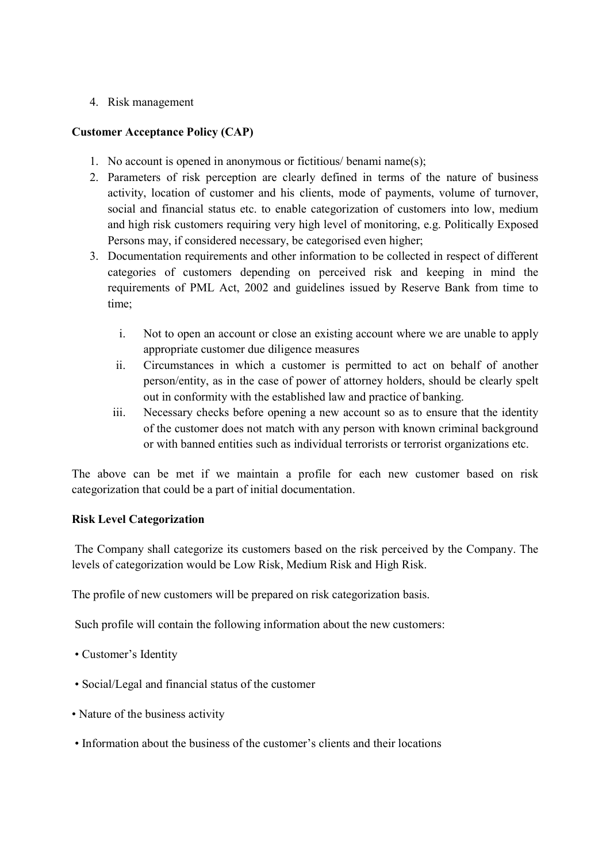### 4. Risk management

### Customer Acceptance Policy (CAP)

- 1. No account is opened in anonymous or fictitious/ benami name(s);
- 2. Parameters of risk perception are clearly defined in terms of the nature of business activity, location of customer and his clients, mode of payments, volume of turnover, social and financial status etc. to enable categorization of customers into low, medium and high risk customers requiring very high level of monitoring, e.g. Politically Exposed Persons may, if considered necessary, be categorised even higher;
- 3. Documentation requirements and other information to be collected in respect of different categories of customers depending on perceived risk and keeping in mind the requirements of PML Act, 2002 and guidelines issued by Reserve Bank from time to time;
	- i. Not to open an account or close an existing account where we are unable to apply appropriate customer due diligence measures
	- ii. Circumstances in which a customer is permitted to act on behalf of another person/entity, as in the case of power of attorney holders, should be clearly spelt out in conformity with the established law and practice of banking.
	- iii. Necessary checks before opening a new account so as to ensure that the identity of the customer does not match with any person with known criminal background or with banned entities such as individual terrorists or terrorist organizations etc.

The above can be met if we maintain a profile for each new customer based on risk categorization that could be a part of initial documentation.

# Risk Level Categorization

 The Company shall categorize its customers based on the risk perceived by the Company. The levels of categorization would be Low Risk, Medium Risk and High Risk.

The profile of new customers will be prepared on risk categorization basis.

Such profile will contain the following information about the new customers:

- Customer's Identity
- Social/Legal and financial status of the customer
- Nature of the business activity
- Information about the business of the customer's clients and their locations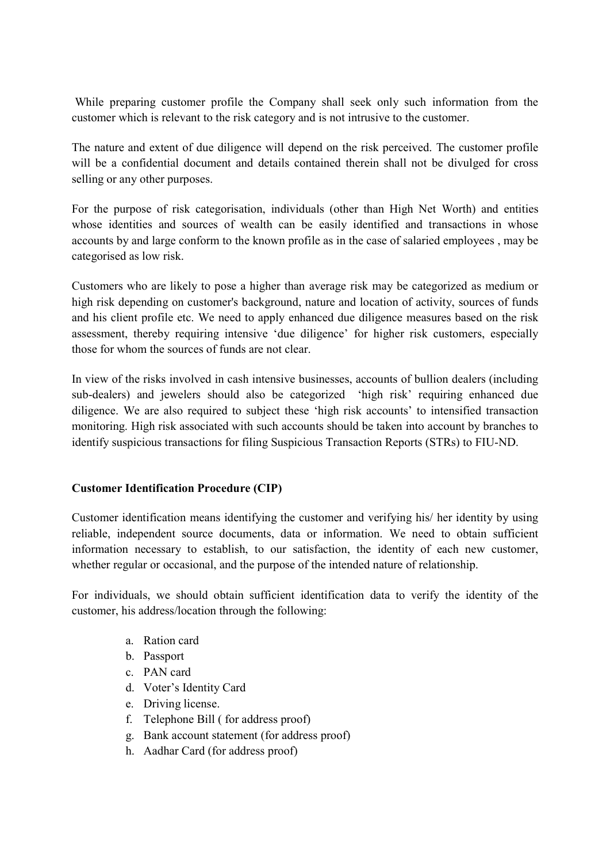While preparing customer profile the Company shall seek only such information from the customer which is relevant to the risk category and is not intrusive to the customer.

The nature and extent of due diligence will depend on the risk perceived. The customer profile will be a confidential document and details contained therein shall not be divulged for cross selling or any other purposes.

For the purpose of risk categorisation, individuals (other than High Net Worth) and entities whose identities and sources of wealth can be easily identified and transactions in whose accounts by and large conform to the known profile as in the case of salaried employees , may be categorised as low risk.

Customers who are likely to pose a higher than average risk may be categorized as medium or high risk depending on customer's background, nature and location of activity, sources of funds and his client profile etc. We need to apply enhanced due diligence measures based on the risk assessment, thereby requiring intensive 'due diligence' for higher risk customers, especially those for whom the sources of funds are not clear.

In view of the risks involved in cash intensive businesses, accounts of bullion dealers (including sub-dealers) and jewelers should also be categorized 'high risk' requiring enhanced due diligence. We are also required to subject these 'high risk accounts' to intensified transaction monitoring. High risk associated with such accounts should be taken into account by branches to identify suspicious transactions for filing Suspicious Transaction Reports (STRs) to FIU-ND.

# Customer Identification Procedure (CIP)

Customer identification means identifying the customer and verifying his/ her identity by using reliable, independent source documents, data or information. We need to obtain sufficient information necessary to establish, to our satisfaction, the identity of each new customer, whether regular or occasional, and the purpose of the intended nature of relationship.

For individuals, we should obtain sufficient identification data to verify the identity of the customer, his address/location through the following:

- a. Ration card
- b. Passport
- c. PAN card
- d. Voter's Identity Card
- e. Driving license.
- f. Telephone Bill ( for address proof)
- g. Bank account statement (for address proof)
- h. Aadhar Card (for address proof)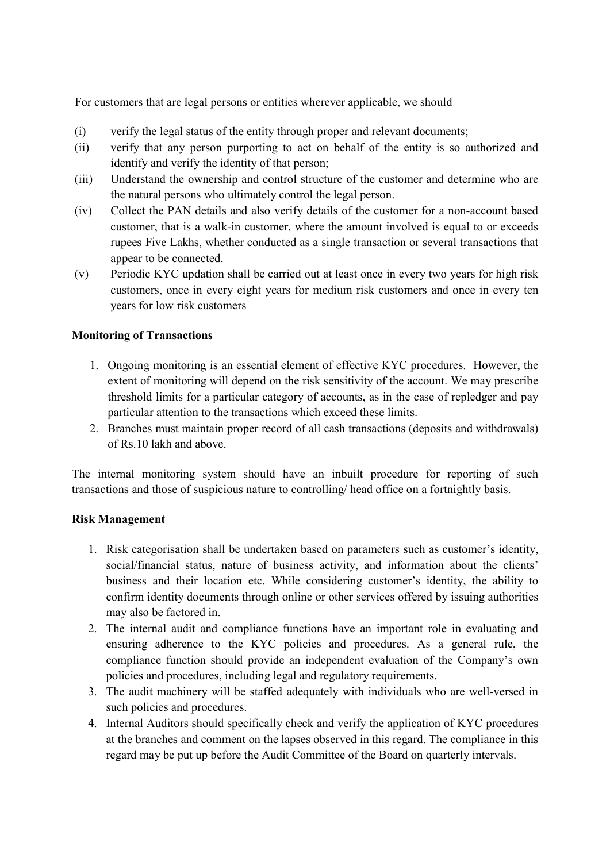For customers that are legal persons or entities wherever applicable, we should

- (i) verify the legal status of the entity through proper and relevant documents;
- (ii) verify that any person purporting to act on behalf of the entity is so authorized and identify and verify the identity of that person;
- (iii) Understand the ownership and control structure of the customer and determine who are the natural persons who ultimately control the legal person.
- (iv) Collect the PAN details and also verify details of the customer for a non-account based customer, that is a walk-in customer, where the amount involved is equal to or exceeds rupees Five Lakhs, whether conducted as a single transaction or several transactions that appear to be connected.
- (v) Periodic KYC updation shall be carried out at least once in every two years for high risk customers, once in every eight years for medium risk customers and once in every ten years for low risk customers

### Monitoring of Transactions

- 1. Ongoing monitoring is an essential element of effective KYC procedures. However, the extent of monitoring will depend on the risk sensitivity of the account. We may prescribe threshold limits for a particular category of accounts, as in the case of repledger and pay particular attention to the transactions which exceed these limits.
- 2. Branches must maintain proper record of all cash transactions (deposits and withdrawals) of Rs.10 lakh and above.

The internal monitoring system should have an inbuilt procedure for reporting of such transactions and those of suspicious nature to controlling/ head office on a fortnightly basis.

#### Risk Management

- 1. Risk categorisation shall be undertaken based on parameters such as customer's identity, social/financial status, nature of business activity, and information about the clients' business and their location etc. While considering customer's identity, the ability to confirm identity documents through online or other services offered by issuing authorities may also be factored in.
- 2. The internal audit and compliance functions have an important role in evaluating and ensuring adherence to the KYC policies and procedures. As a general rule, the compliance function should provide an independent evaluation of the Company's own policies and procedures, including legal and regulatory requirements.
- 3. The audit machinery will be staffed adequately with individuals who are well-versed in such policies and procedures.
- 4. Internal Auditors should specifically check and verify the application of KYC procedures at the branches and comment on the lapses observed in this regard. The compliance in this regard may be put up before the Audit Committee of the Board on quarterly intervals.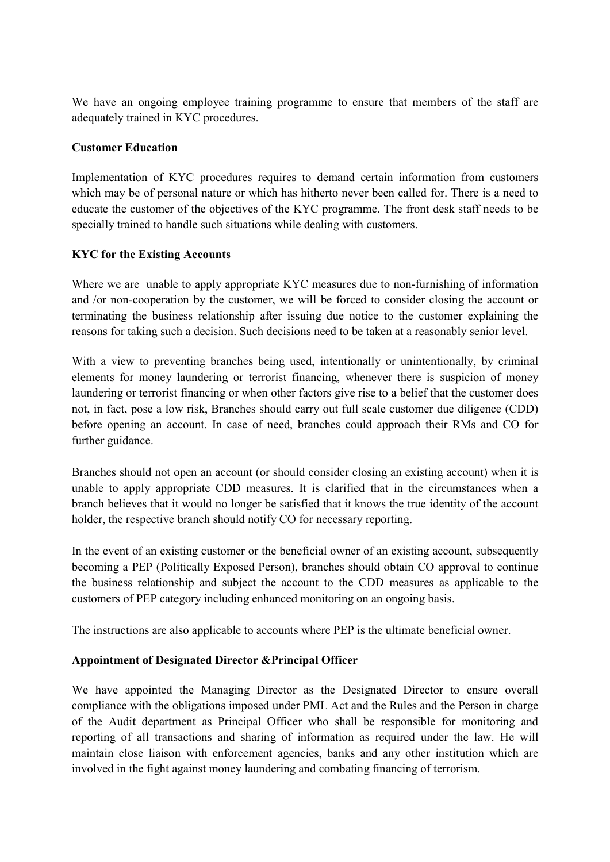We have an ongoing employee training programme to ensure that members of the staff are adequately trained in KYC procedures.

### Customer Education

Implementation of KYC procedures requires to demand certain information from customers which may be of personal nature or which has hitherto never been called for. There is a need to educate the customer of the objectives of the KYC programme. The front desk staff needs to be specially trained to handle such situations while dealing with customers.

### KYC for the Existing Accounts

Where we are unable to apply appropriate KYC measures due to non-furnishing of information and /or non-cooperation by the customer, we will be forced to consider closing the account or terminating the business relationship after issuing due notice to the customer explaining the reasons for taking such a decision. Such decisions need to be taken at a reasonably senior level.

With a view to preventing branches being used, intentionally or unintentionally, by criminal elements for money laundering or terrorist financing, whenever there is suspicion of money laundering or terrorist financing or when other factors give rise to a belief that the customer does not, in fact, pose a low risk, Branches should carry out full scale customer due diligence (CDD) before opening an account. In case of need, branches could approach their RMs and CO for further guidance.

Branches should not open an account (or should consider closing an existing account) when it is unable to apply appropriate CDD measures. It is clarified that in the circumstances when a branch believes that it would no longer be satisfied that it knows the true identity of the account holder, the respective branch should notify CO for necessary reporting.

In the event of an existing customer or the beneficial owner of an existing account, subsequently becoming a PEP (Politically Exposed Person), branches should obtain CO approval to continue the business relationship and subject the account to the CDD measures as applicable to the customers of PEP category including enhanced monitoring on an ongoing basis.

The instructions are also applicable to accounts where PEP is the ultimate beneficial owner.

# Appointment of Designated Director &Principal Officer

We have appointed the Managing Director as the Designated Director to ensure overall compliance with the obligations imposed under PML Act and the Rules and the Person in charge of the Audit department as Principal Officer who shall be responsible for monitoring and reporting of all transactions and sharing of information as required under the law. He will maintain close liaison with enforcement agencies, banks and any other institution which are involved in the fight against money laundering and combating financing of terrorism.